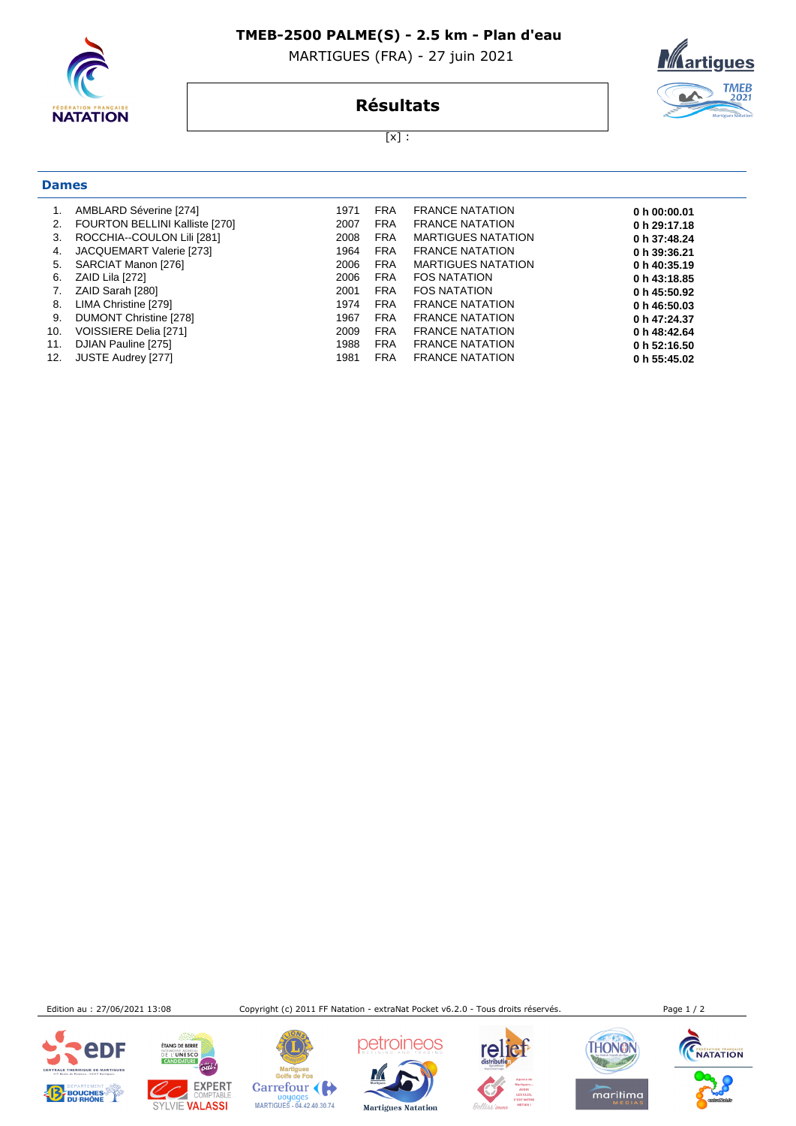

**Dames**

#### **TMEB-2500 PALME(S) - 2.5 km - Plan d'eau**

MARTIGUES (FRA) - 27 juin 2021



### **Résultats**

[x] :

| 1.  | AMBLARD Séverine [274]         | 1971 | <b>FRA</b> | <b>FRANCE NATATION</b>    | 0 h $00:00.01$ |
|-----|--------------------------------|------|------------|---------------------------|----------------|
| 2.  | FOURTON BELLINI Kalliste [270] | 2007 | <b>FRA</b> | <b>FRANCE NATATION</b>    | 0 h 29:17.18   |
| 3.  | ROCCHIA--COULON Lili [281]     | 2008 | <b>FRA</b> | <b>MARTIGUES NATATION</b> | 0 h 37:48.24   |
| 4.  | JACQUEMART Valerie [273]       | 1964 | <b>FRA</b> | <b>FRANCE NATATION</b>    | 0 h 39:36.21   |
| 5.  | SARCIAT Manon [276]            | 2006 | <b>FRA</b> | <b>MARTIGUES NATATION</b> | 0 h 40:35.19   |
| 6.  | ZAID Lila [272]                | 2006 | <b>FRA</b> | <b>FOS NATATION</b>       | 0 h 43:18.85   |
| 7.  | ZAID Sarah [280]               | 2001 | <b>FRA</b> | <b>FOS NATATION</b>       | 0 h 45:50.92   |
| 8.  | LIMA Christine [279]           | 1974 | <b>FRA</b> | <b>FRANCE NATATION</b>    | 0 h 46:50.03   |
| 9.  | DUMONT Christine [278]         | 1967 | <b>FRA</b> | <b>FRANCE NATATION</b>    | 0 h 47:24.37   |
| 10. | VOISSIERE Delia [271]          | 2009 | <b>FRA</b> | <b>FRANCE NATATION</b>    | 0 h 48:42.64   |
| 11. | DJIAN Pauline [275]            | 1988 | <b>FRA</b> | <b>FRANCE NATATION</b>    | 0 h 52:16.50   |
| 12. | JUSTE Audrey [277]             | 1981 | <b>FRA</b> | <b>FRANCE NATATION</b>    | 0 h 55:45.02   |
|     |                                |      |            |                           |                |

Edition au : 27/06/2021 13:08 Copyright (c) 2011 FF Natation - extraNat Pocket v6.2.0 - Tous droits réservés. Page 1 / 2





Martigues<br>Golfe de Fos Carrefour ( Doyages<br>MARTIGUES - 04.42.40.30.74